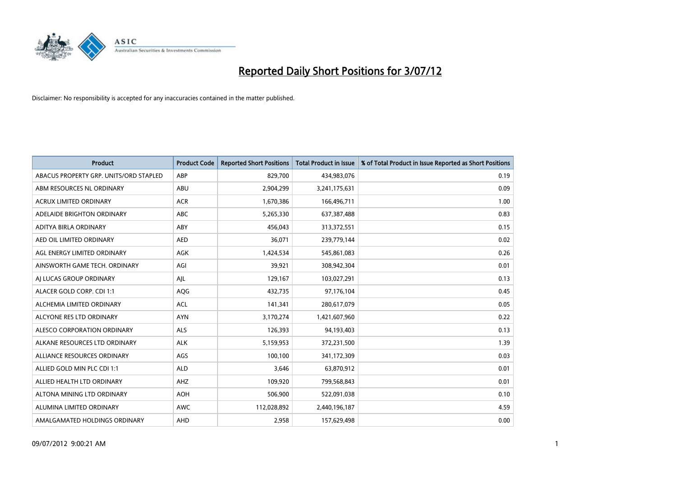

| <b>Product</b>                         | <b>Product Code</b> | <b>Reported Short Positions</b> | <b>Total Product in Issue</b> | % of Total Product in Issue Reported as Short Positions |
|----------------------------------------|---------------------|---------------------------------|-------------------------------|---------------------------------------------------------|
| ABACUS PROPERTY GRP. UNITS/ORD STAPLED | ABP                 | 829,700                         | 434,983,076                   | 0.19                                                    |
| ABM RESOURCES NL ORDINARY              | ABU                 | 2,904,299                       | 3,241,175,631                 | 0.09                                                    |
| <b>ACRUX LIMITED ORDINARY</b>          | <b>ACR</b>          | 1,670,386                       | 166,496,711                   | 1.00                                                    |
| ADELAIDE BRIGHTON ORDINARY             | ABC                 | 5,265,330                       | 637, 387, 488                 | 0.83                                                    |
| ADITYA BIRLA ORDINARY                  | ABY                 | 456.043                         | 313,372,551                   | 0.15                                                    |
| AED OIL LIMITED ORDINARY               | <b>AED</b>          | 36,071                          | 239,779,144                   | 0.02                                                    |
| AGL ENERGY LIMITED ORDINARY            | <b>AGK</b>          | 1,424,534                       | 545,861,083                   | 0.26                                                    |
| AINSWORTH GAME TECH. ORDINARY          | AGI                 | 39,921                          | 308,942,304                   | 0.01                                                    |
| AI LUCAS GROUP ORDINARY                | AJL                 | 129,167                         | 103,027,291                   | 0.13                                                    |
| ALACER GOLD CORP. CDI 1:1              | AQG                 | 432,735                         | 97,176,104                    | 0.45                                                    |
| ALCHEMIA LIMITED ORDINARY              | <b>ACL</b>          | 141,341                         | 280,617,079                   | 0.05                                                    |
| ALCYONE RES LTD ORDINARY               | <b>AYN</b>          | 3,170,274                       | 1,421,607,960                 | 0.22                                                    |
| ALESCO CORPORATION ORDINARY            | <b>ALS</b>          | 126,393                         | 94,193,403                    | 0.13                                                    |
| ALKANE RESOURCES LTD ORDINARY          | <b>ALK</b>          | 5,159,953                       | 372,231,500                   | 1.39                                                    |
| ALLIANCE RESOURCES ORDINARY            | AGS                 | 100,100                         | 341,172,309                   | 0.03                                                    |
| ALLIED GOLD MIN PLC CDI 1:1            | <b>ALD</b>          | 3,646                           | 63,870,912                    | 0.01                                                    |
| ALLIED HEALTH LTD ORDINARY             | AHZ                 | 109,920                         | 799,568,843                   | 0.01                                                    |
| ALTONA MINING LTD ORDINARY             | <b>AOH</b>          | 506,900                         | 522,091,038                   | 0.10                                                    |
| ALUMINA LIMITED ORDINARY               | <b>AWC</b>          | 112,028,892                     | 2,440,196,187                 | 4.59                                                    |
| AMALGAMATED HOLDINGS ORDINARY          | <b>AHD</b>          | 2.958                           | 157,629,498                   | 0.00                                                    |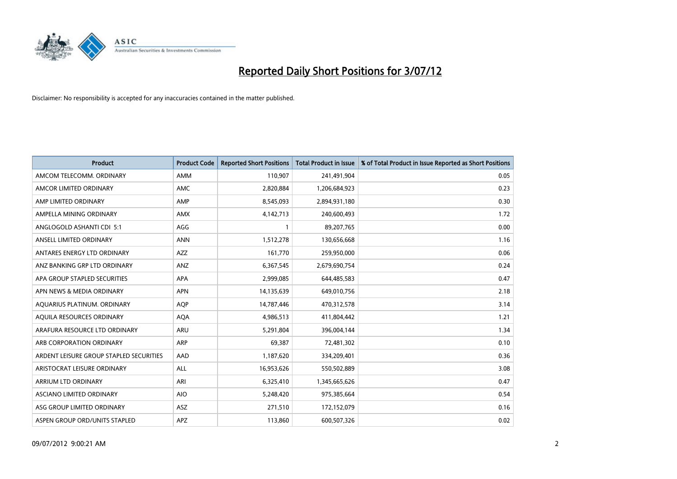

| <b>Product</b>                          | <b>Product Code</b> | <b>Reported Short Positions</b> | <b>Total Product in Issue</b> | % of Total Product in Issue Reported as Short Positions |
|-----------------------------------------|---------------------|---------------------------------|-------------------------------|---------------------------------------------------------|
| AMCOM TELECOMM. ORDINARY                | AMM                 | 110,907                         | 241,491,904                   | 0.05                                                    |
| AMCOR LIMITED ORDINARY                  | <b>AMC</b>          | 2,820,884                       | 1,206,684,923                 | 0.23                                                    |
| AMP LIMITED ORDINARY                    | AMP                 | 8,545,093                       | 2,894,931,180                 | 0.30                                                    |
| AMPELLA MINING ORDINARY                 | <b>AMX</b>          | 4,142,713                       | 240,600,493                   | 1.72                                                    |
| ANGLOGOLD ASHANTI CDI 5:1               | AGG                 |                                 | 89,207,765                    | 0.00                                                    |
| ANSELL LIMITED ORDINARY                 | <b>ANN</b>          | 1,512,278                       | 130,656,668                   | 1.16                                                    |
| ANTARES ENERGY LTD ORDINARY             | AZZ                 | 161,770                         | 259,950,000                   | 0.06                                                    |
| ANZ BANKING GRP LTD ORDINARY            | ANZ                 | 6,367,545                       | 2,679,690,754                 | 0.24                                                    |
| APA GROUP STAPLED SECURITIES            | <b>APA</b>          | 2,999,085                       | 644,485,583                   | 0.47                                                    |
| APN NEWS & MEDIA ORDINARY               | <b>APN</b>          | 14,135,639                      | 649,010,756                   | 2.18                                                    |
| AQUARIUS PLATINUM. ORDINARY             | <b>AOP</b>          | 14,787,446                      | 470,312,578                   | 3.14                                                    |
| AQUILA RESOURCES ORDINARY               | <b>AQA</b>          | 4,986,513                       | 411,804,442                   | 1.21                                                    |
| ARAFURA RESOURCE LTD ORDINARY           | ARU                 | 5,291,804                       | 396,004,144                   | 1.34                                                    |
| ARB CORPORATION ORDINARY                | ARP                 | 69,387                          | 72,481,302                    | 0.10                                                    |
| ARDENT LEISURE GROUP STAPLED SECURITIES | AAD                 | 1,187,620                       | 334,209,401                   | 0.36                                                    |
| ARISTOCRAT LEISURE ORDINARY             | ALL                 | 16,953,626                      | 550,502,889                   | 3.08                                                    |
| ARRIUM LTD ORDINARY                     | ARI                 | 6,325,410                       | 1,345,665,626                 | 0.47                                                    |
| ASCIANO LIMITED ORDINARY                | <b>AIO</b>          | 5,248,420                       | 975,385,664                   | 0.54                                                    |
| ASG GROUP LIMITED ORDINARY              | <b>ASZ</b>          | 271,510                         | 172,152,079                   | 0.16                                                    |
| ASPEN GROUP ORD/UNITS STAPLED           | APZ                 | 113,860                         | 600,507,326                   | 0.02                                                    |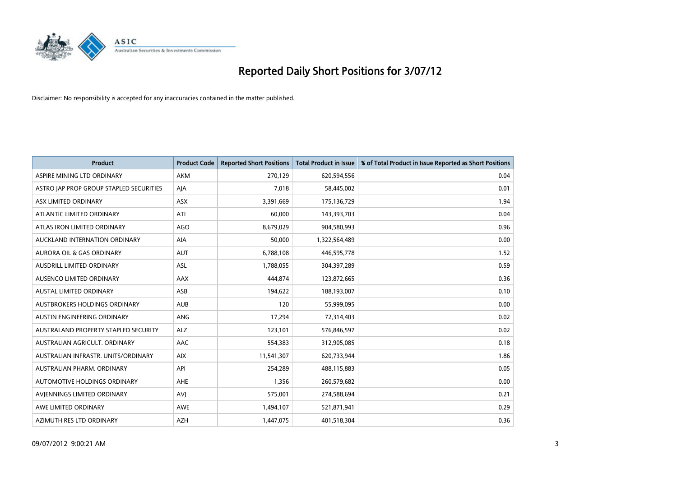

| <b>Product</b>                          | <b>Product Code</b> | <b>Reported Short Positions</b> | <b>Total Product in Issue</b> | % of Total Product in Issue Reported as Short Positions |
|-----------------------------------------|---------------------|---------------------------------|-------------------------------|---------------------------------------------------------|
| ASPIRE MINING LTD ORDINARY              | <b>AKM</b>          | 270,129                         | 620,594,556                   | 0.04                                                    |
| ASTRO JAP PROP GROUP STAPLED SECURITIES | AJA                 | 7,018                           | 58,445,002                    | 0.01                                                    |
| ASX LIMITED ORDINARY                    | <b>ASX</b>          | 3,391,669                       | 175,136,729                   | 1.94                                                    |
| ATLANTIC LIMITED ORDINARY               | ATI                 | 60,000                          | 143,393,703                   | 0.04                                                    |
| ATLAS IRON LIMITED ORDINARY             | AGO                 | 8,679,029                       | 904,580,993                   | 0.96                                                    |
| AUCKLAND INTERNATION ORDINARY           | AIA                 | 50,000                          | 1,322,564,489                 | 0.00                                                    |
| AURORA OIL & GAS ORDINARY               | <b>AUT</b>          | 6,788,108                       | 446,595,778                   | 1.52                                                    |
| AUSDRILL LIMITED ORDINARY               | <b>ASL</b>          | 1,788,055                       | 304,397,289                   | 0.59                                                    |
| AUSENCO LIMITED ORDINARY                | AAX                 | 444,874                         | 123,872,665                   | 0.36                                                    |
| <b>AUSTAL LIMITED ORDINARY</b>          | ASB                 | 194,622                         | 188,193,007                   | 0.10                                                    |
| AUSTBROKERS HOLDINGS ORDINARY           | <b>AUB</b>          | 120                             | 55,999,095                    | 0.00                                                    |
| AUSTIN ENGINEERING ORDINARY             | <b>ANG</b>          | 17,294                          | 72,314,403                    | 0.02                                                    |
| AUSTRALAND PROPERTY STAPLED SECURITY    | <b>ALZ</b>          | 123,101                         | 576,846,597                   | 0.02                                                    |
| AUSTRALIAN AGRICULT. ORDINARY           | AAC                 | 554,383                         | 312,905,085                   | 0.18                                                    |
| AUSTRALIAN INFRASTR, UNITS/ORDINARY     | <b>AIX</b>          | 11,541,307                      | 620,733,944                   | 1.86                                                    |
| AUSTRALIAN PHARM. ORDINARY              | API                 | 254,289                         | 488,115,883                   | 0.05                                                    |
| AUTOMOTIVE HOLDINGS ORDINARY            | AHE                 | 1,356                           | 260,579,682                   | 0.00                                                    |
| AVJENNINGS LIMITED ORDINARY             | AVI                 | 575,001                         | 274,588,694                   | 0.21                                                    |
| AWE LIMITED ORDINARY                    | <b>AWE</b>          | 1,494,107                       | 521,871,941                   | 0.29                                                    |
| AZIMUTH RES LTD ORDINARY                | <b>AZH</b>          | 1,447,075                       | 401,518,304                   | 0.36                                                    |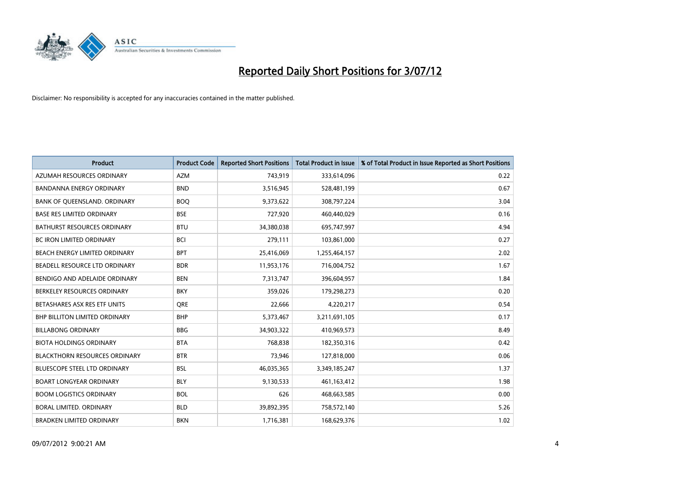

| <b>Product</b>                       | <b>Product Code</b> | <b>Reported Short Positions</b> | <b>Total Product in Issue</b> | % of Total Product in Issue Reported as Short Positions |
|--------------------------------------|---------------------|---------------------------------|-------------------------------|---------------------------------------------------------|
| AZUMAH RESOURCES ORDINARY            | <b>AZM</b>          | 743,919                         | 333,614,096                   | 0.22                                                    |
| BANDANNA ENERGY ORDINARY             | <b>BND</b>          | 3,516,945                       | 528,481,199                   | 0.67                                                    |
| BANK OF QUEENSLAND. ORDINARY         | <b>BOO</b>          | 9,373,622                       | 308,797,224                   | 3.04                                                    |
| <b>BASE RES LIMITED ORDINARY</b>     | <b>BSE</b>          | 727,920                         | 460,440,029                   | 0.16                                                    |
| <b>BATHURST RESOURCES ORDINARY</b>   | <b>BTU</b>          | 34,380,038                      | 695,747,997                   | 4.94                                                    |
| <b>BC IRON LIMITED ORDINARY</b>      | <b>BCI</b>          | 279,111                         | 103,861,000                   | 0.27                                                    |
| <b>BEACH ENERGY LIMITED ORDINARY</b> | <b>BPT</b>          | 25,416,069                      | 1,255,464,157                 | 2.02                                                    |
| BEADELL RESOURCE LTD ORDINARY        | <b>BDR</b>          | 11,953,176                      | 716,004,752                   | 1.67                                                    |
| BENDIGO AND ADELAIDE ORDINARY        | <b>BEN</b>          | 7,313,747                       | 396,604,957                   | 1.84                                                    |
| BERKELEY RESOURCES ORDINARY          | <b>BKY</b>          | 359,026                         | 179,298,273                   | 0.20                                                    |
| BETASHARES ASX RES ETF UNITS         | <b>ORE</b>          | 22,666                          | 4,220,217                     | 0.54                                                    |
| <b>BHP BILLITON LIMITED ORDINARY</b> | <b>BHP</b>          | 5,373,467                       | 3,211,691,105                 | 0.17                                                    |
| <b>BILLABONG ORDINARY</b>            | <b>BBG</b>          | 34,903,322                      | 410,969,573                   | 8.49                                                    |
| <b>BIOTA HOLDINGS ORDINARY</b>       | <b>BTA</b>          | 768,838                         | 182,350,316                   | 0.42                                                    |
| <b>BLACKTHORN RESOURCES ORDINARY</b> | <b>BTR</b>          | 73,946                          | 127,818,000                   | 0.06                                                    |
| BLUESCOPE STEEL LTD ORDINARY         | <b>BSL</b>          | 46,035,365                      | 3,349,185,247                 | 1.37                                                    |
| <b>BOART LONGYEAR ORDINARY</b>       | <b>BLY</b>          | 9,130,533                       | 461,163,412                   | 1.98                                                    |
| <b>BOOM LOGISTICS ORDINARY</b>       | <b>BOL</b>          | 626                             | 468,663,585                   | 0.00                                                    |
| BORAL LIMITED, ORDINARY              | <b>BLD</b>          | 39,892,395                      | 758,572,140                   | 5.26                                                    |
| <b>BRADKEN LIMITED ORDINARY</b>      | <b>BKN</b>          | 1,716,381                       | 168,629,376                   | 1.02                                                    |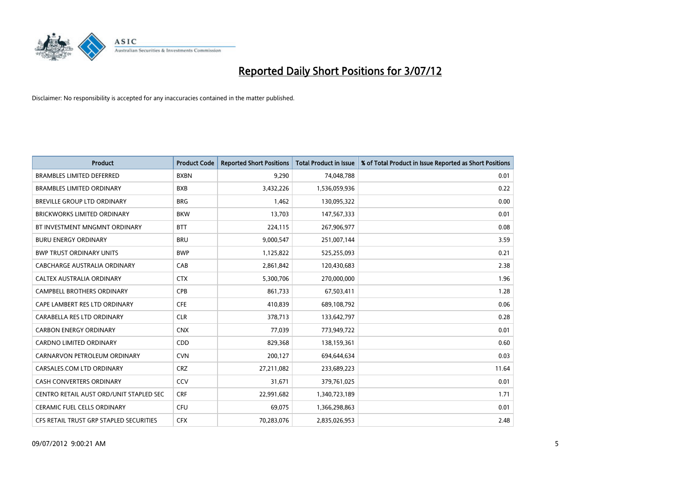

| <b>Product</b>                          | <b>Product Code</b> | <b>Reported Short Positions</b> | <b>Total Product in Issue</b> | % of Total Product in Issue Reported as Short Positions |
|-----------------------------------------|---------------------|---------------------------------|-------------------------------|---------------------------------------------------------|
| <b>BRAMBLES LIMITED DEFERRED</b>        | <b>BXBN</b>         | 9,290                           | 74,048,788                    | 0.01                                                    |
| <b>BRAMBLES LIMITED ORDINARY</b>        | <b>BXB</b>          | 3,432,226                       | 1,536,059,936                 | 0.22                                                    |
| BREVILLE GROUP LTD ORDINARY             | <b>BRG</b>          | 1,462                           | 130,095,322                   | 0.00                                                    |
| BRICKWORKS LIMITED ORDINARY             | <b>BKW</b>          | 13,703                          | 147,567,333                   | 0.01                                                    |
| BT INVESTMENT MNGMNT ORDINARY           | <b>BTT</b>          | 224,115                         | 267,906,977                   | 0.08                                                    |
| <b>BURU ENERGY ORDINARY</b>             | <b>BRU</b>          | 9,000,547                       | 251,007,144                   | 3.59                                                    |
| <b>BWP TRUST ORDINARY UNITS</b>         | <b>BWP</b>          | 1,125,822                       | 525,255,093                   | 0.21                                                    |
| CABCHARGE AUSTRALIA ORDINARY            | CAB                 | 2,861,842                       | 120,430,683                   | 2.38                                                    |
| CALTEX AUSTRALIA ORDINARY               | <b>CTX</b>          | 5,300,706                       | 270,000,000                   | 1.96                                                    |
| <b>CAMPBELL BROTHERS ORDINARY</b>       | <b>CPB</b>          | 861,733                         | 67,503,411                    | 1.28                                                    |
| CAPE LAMBERT RES LTD ORDINARY           | <b>CFE</b>          | 410,839                         | 689,108,792                   | 0.06                                                    |
| CARABELLA RES LTD ORDINARY              | <b>CLR</b>          | 378,713                         | 133,642,797                   | 0.28                                                    |
| <b>CARBON ENERGY ORDINARY</b>           | <b>CNX</b>          | 77,039                          | 773,949,722                   | 0.01                                                    |
| <b>CARDNO LIMITED ORDINARY</b>          | CDD                 | 829,368                         | 138,159,361                   | 0.60                                                    |
| CARNARVON PETROLEUM ORDINARY            | <b>CVN</b>          | 200,127                         | 694,644,634                   | 0.03                                                    |
| CARSALES.COM LTD ORDINARY               | <b>CRZ</b>          | 27,211,082                      | 233,689,223                   | 11.64                                                   |
| <b>CASH CONVERTERS ORDINARY</b>         | CCV                 | 31,671                          | 379,761,025                   | 0.01                                                    |
| CENTRO RETAIL AUST ORD/UNIT STAPLED SEC | <b>CRF</b>          | 22,991,682                      | 1,340,723,189                 | 1.71                                                    |
| <b>CERAMIC FUEL CELLS ORDINARY</b>      | CFU                 | 69,075                          | 1,366,298,863                 | 0.01                                                    |
| CFS RETAIL TRUST GRP STAPLED SECURITIES | <b>CFX</b>          | 70,283,076                      | 2,835,026,953                 | 2.48                                                    |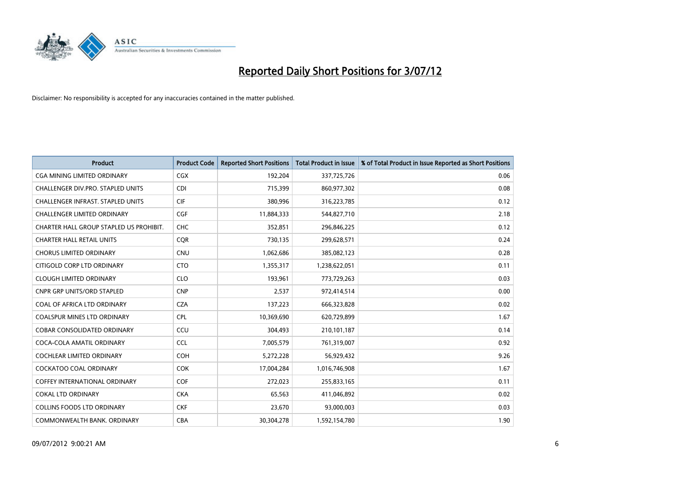

| <b>Product</b>                           | <b>Product Code</b> | <b>Reported Short Positions</b> | <b>Total Product in Issue</b> | % of Total Product in Issue Reported as Short Positions |
|------------------------------------------|---------------------|---------------------------------|-------------------------------|---------------------------------------------------------|
| <b>CGA MINING LIMITED ORDINARY</b>       | <b>CGX</b>          | 192,204                         | 337,725,726                   | 0.06                                                    |
| CHALLENGER DIV.PRO. STAPLED UNITS        | <b>CDI</b>          | 715,399                         | 860,977,302                   | 0.08                                                    |
| <b>CHALLENGER INFRAST, STAPLED UNITS</b> | <b>CIF</b>          | 380,996                         | 316,223,785                   | 0.12                                                    |
| CHALLENGER LIMITED ORDINARY              | <b>CGF</b>          | 11,884,333                      | 544,827,710                   | 2.18                                                    |
| CHARTER HALL GROUP STAPLED US PROHIBIT.  | CHC                 | 352,851                         | 296,846,225                   | 0.12                                                    |
| <b>CHARTER HALL RETAIL UNITS</b>         | <b>CQR</b>          | 730,135                         | 299,628,571                   | 0.24                                                    |
| <b>CHORUS LIMITED ORDINARY</b>           | <b>CNU</b>          | 1,062,686                       | 385,082,123                   | 0.28                                                    |
| CITIGOLD CORP LTD ORDINARY               | <b>CTO</b>          | 1,355,317                       | 1,238,622,051                 | 0.11                                                    |
| <b>CLOUGH LIMITED ORDINARY</b>           | <b>CLO</b>          | 193,961                         | 773,729,263                   | 0.03                                                    |
| <b>CNPR GRP UNITS/ORD STAPLED</b>        | <b>CNP</b>          | 2,537                           | 972,414,514                   | 0.00                                                    |
| COAL OF AFRICA LTD ORDINARY              | <b>CZA</b>          | 137,223                         | 666,323,828                   | 0.02                                                    |
| <b>COALSPUR MINES LTD ORDINARY</b>       | CPL                 | 10,369,690                      | 620,729,899                   | 1.67                                                    |
| COBAR CONSOLIDATED ORDINARY              | CCU                 | 304,493                         | 210,101,187                   | 0.14                                                    |
| COCA-COLA AMATIL ORDINARY                | <b>CCL</b>          | 7,005,579                       | 761,319,007                   | 0.92                                                    |
| <b>COCHLEAR LIMITED ORDINARY</b>         | COH                 | 5,272,228                       | 56,929,432                    | 9.26                                                    |
| COCKATOO COAL ORDINARY                   | <b>COK</b>          | 17,004,284                      | 1,016,746,908                 | 1.67                                                    |
| <b>COFFEY INTERNATIONAL ORDINARY</b>     | <b>COF</b>          | 272,023                         | 255,833,165                   | 0.11                                                    |
| <b>COKAL LTD ORDINARY</b>                | <b>CKA</b>          | 65,563                          | 411,046,892                   | 0.02                                                    |
| <b>COLLINS FOODS LTD ORDINARY</b>        | <b>CKF</b>          | 23,670                          | 93,000,003                    | 0.03                                                    |
| COMMONWEALTH BANK, ORDINARY              | <b>CBA</b>          | 30,304,278                      | 1,592,154,780                 | 1.90                                                    |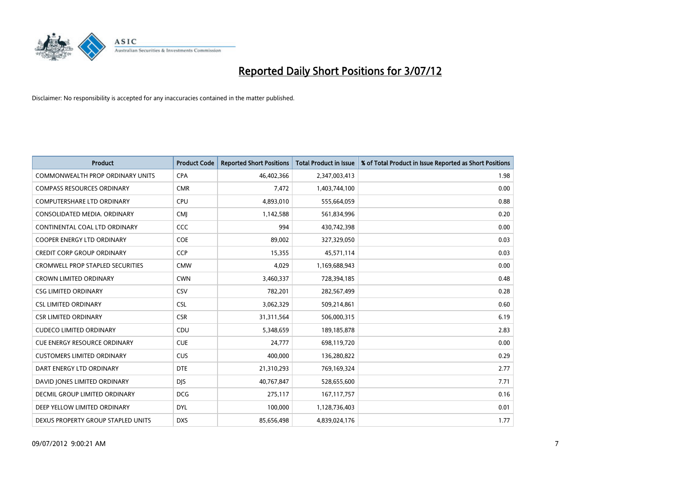

| <b>Product</b>                          | <b>Product Code</b> | <b>Reported Short Positions</b> | <b>Total Product in Issue</b> | % of Total Product in Issue Reported as Short Positions |
|-----------------------------------------|---------------------|---------------------------------|-------------------------------|---------------------------------------------------------|
| <b>COMMONWEALTH PROP ORDINARY UNITS</b> | <b>CPA</b>          | 46,402,366                      | 2,347,003,413                 | 1.98                                                    |
| <b>COMPASS RESOURCES ORDINARY</b>       | <b>CMR</b>          | 7,472                           | 1,403,744,100                 | 0.00                                                    |
| <b>COMPUTERSHARE LTD ORDINARY</b>       | <b>CPU</b>          | 4,893,010                       | 555,664,059                   | 0.88                                                    |
| CONSOLIDATED MEDIA. ORDINARY            | <b>CMI</b>          | 1,142,588                       | 561,834,996                   | 0.20                                                    |
| CONTINENTAL COAL LTD ORDINARY           | <b>CCC</b>          | 994                             | 430,742,398                   | 0.00                                                    |
| <b>COOPER ENERGY LTD ORDINARY</b>       | COE                 | 89,002                          | 327,329,050                   | 0.03                                                    |
| <b>CREDIT CORP GROUP ORDINARY</b>       | <b>CCP</b>          | 15,355                          | 45,571,114                    | 0.03                                                    |
| <b>CROMWELL PROP STAPLED SECURITIES</b> | <b>CMW</b>          | 4,029                           | 1,169,688,943                 | 0.00                                                    |
| <b>CROWN LIMITED ORDINARY</b>           | <b>CWN</b>          | 3,460,337                       | 728,394,185                   | 0.48                                                    |
| <b>CSG LIMITED ORDINARY</b>             | CSV                 | 782,201                         | 282,567,499                   | 0.28                                                    |
| <b>CSL LIMITED ORDINARY</b>             | <b>CSL</b>          | 3,062,329                       | 509,214,861                   | 0.60                                                    |
| <b>CSR LIMITED ORDINARY</b>             | <b>CSR</b>          | 31,311,564                      | 506,000,315                   | 6.19                                                    |
| <b>CUDECO LIMITED ORDINARY</b>          | CDU                 | 5,348,659                       | 189, 185, 878                 | 2.83                                                    |
| <b>CUE ENERGY RESOURCE ORDINARY</b>     | <b>CUE</b>          | 24,777                          | 698,119,720                   | 0.00                                                    |
| <b>CUSTOMERS LIMITED ORDINARY</b>       | <b>CUS</b>          | 400,000                         | 136,280,822                   | 0.29                                                    |
| DART ENERGY LTD ORDINARY                | <b>DTE</b>          | 21,310,293                      | 769,169,324                   | 2.77                                                    |
| DAVID JONES LIMITED ORDINARY            | <b>DJS</b>          | 40,767,847                      | 528,655,600                   | 7.71                                                    |
| <b>DECMIL GROUP LIMITED ORDINARY</b>    | <b>DCG</b>          | 275,117                         | 167, 117, 757                 | 0.16                                                    |
| DEEP YELLOW LIMITED ORDINARY            | <b>DYL</b>          | 100,000                         | 1,128,736,403                 | 0.01                                                    |
| DEXUS PROPERTY GROUP STAPLED UNITS      | <b>DXS</b>          | 85,656,498                      | 4,839,024,176                 | 1.77                                                    |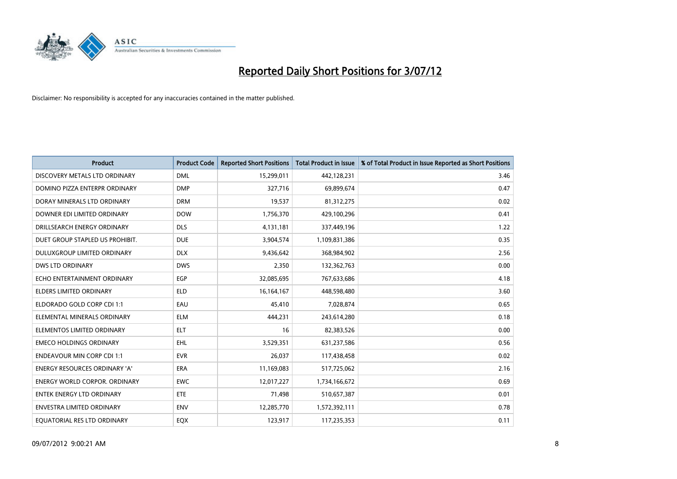

| <b>Product</b>                       | <b>Product Code</b> | <b>Reported Short Positions</b> | <b>Total Product in Issue</b> | % of Total Product in Issue Reported as Short Positions |
|--------------------------------------|---------------------|---------------------------------|-------------------------------|---------------------------------------------------------|
| DISCOVERY METALS LTD ORDINARY        | <b>DML</b>          | 15,299,011                      | 442,128,231                   | 3.46                                                    |
| DOMINO PIZZA ENTERPR ORDINARY        | <b>DMP</b>          | 327,716                         | 69,899,674                    | 0.47                                                    |
| DORAY MINERALS LTD ORDINARY          | <b>DRM</b>          | 19,537                          | 81,312,275                    | 0.02                                                    |
| DOWNER EDI LIMITED ORDINARY          | <b>DOW</b>          | 1,756,370                       | 429,100,296                   | 0.41                                                    |
| DRILLSEARCH ENERGY ORDINARY          | <b>DLS</b>          | 4,131,181                       | 337,449,196                   | 1.22                                                    |
| DUET GROUP STAPLED US PROHIBIT.      | <b>DUE</b>          | 3,904,574                       | 1,109,831,386                 | 0.35                                                    |
| DULUXGROUP LIMITED ORDINARY          | <b>DLX</b>          | 9,436,642                       | 368,984,902                   | 2.56                                                    |
| <b>DWS LTD ORDINARY</b>              | <b>DWS</b>          | 2,350                           | 132,362,763                   | 0.00                                                    |
| ECHO ENTERTAINMENT ORDINARY          | <b>EGP</b>          | 32,085,695                      | 767,633,686                   | 4.18                                                    |
| <b>ELDERS LIMITED ORDINARY</b>       | <b>ELD</b>          | 16, 164, 167                    | 448,598,480                   | 3.60                                                    |
| ELDORADO GOLD CORP CDI 1:1           | EAU                 | 45,410                          | 7,028,874                     | 0.65                                                    |
| ELEMENTAL MINERALS ORDINARY          | <b>ELM</b>          | 444,231                         | 243,614,280                   | 0.18                                                    |
| ELEMENTOS LIMITED ORDINARY           | <b>ELT</b>          | 16                              | 82,383,526                    | 0.00                                                    |
| <b>EMECO HOLDINGS ORDINARY</b>       | <b>EHL</b>          | 3,529,351                       | 631,237,586                   | 0.56                                                    |
| <b>ENDEAVOUR MIN CORP CDI 1:1</b>    | <b>EVR</b>          | 26,037                          | 117,438,458                   | 0.02                                                    |
| <b>ENERGY RESOURCES ORDINARY 'A'</b> | <b>ERA</b>          | 11,169,083                      | 517,725,062                   | 2.16                                                    |
| <b>ENERGY WORLD CORPOR, ORDINARY</b> | <b>EWC</b>          | 12,017,227                      | 1,734,166,672                 | 0.69                                                    |
| ENTEK ENERGY LTD ORDINARY            | ETE                 | 71,498                          | 510,657,387                   | 0.01                                                    |
| <b>ENVESTRA LIMITED ORDINARY</b>     | <b>ENV</b>          | 12,285,770                      | 1,572,392,111                 | 0.78                                                    |
| EQUATORIAL RES LTD ORDINARY          | <b>EQX</b>          | 123,917                         | 117,235,353                   | 0.11                                                    |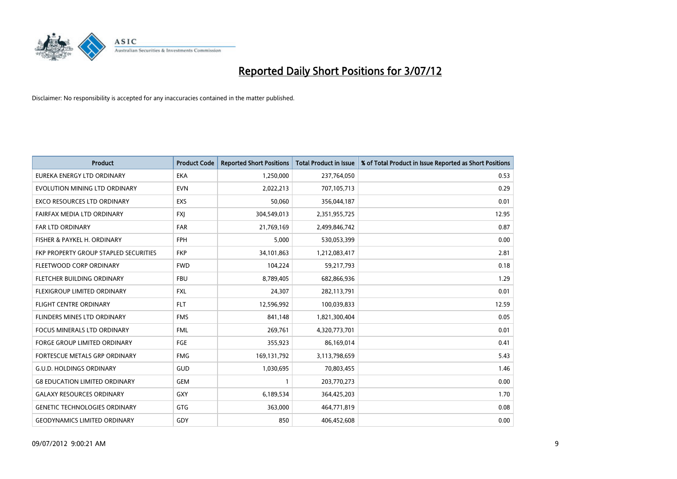

| <b>Product</b>                        | <b>Product Code</b> | <b>Reported Short Positions</b> | <b>Total Product in Issue</b> | % of Total Product in Issue Reported as Short Positions |
|---------------------------------------|---------------------|---------------------------------|-------------------------------|---------------------------------------------------------|
| EUREKA ENERGY LTD ORDINARY            | <b>EKA</b>          | 1,250,000                       | 237,764,050                   | 0.53                                                    |
| EVOLUTION MINING LTD ORDINARY         | <b>EVN</b>          | 2,022,213                       | 707,105,713                   | 0.29                                                    |
| EXCO RESOURCES LTD ORDINARY           | <b>EXS</b>          | 50,060                          | 356,044,187                   | 0.01                                                    |
| FAIRFAX MEDIA LTD ORDINARY            | <b>FXI</b>          | 304,549,013                     | 2,351,955,725                 | 12.95                                                   |
| <b>FAR LTD ORDINARY</b>               | <b>FAR</b>          | 21,769,169                      | 2,499,846,742                 | 0.87                                                    |
| FISHER & PAYKEL H. ORDINARY           | <b>FPH</b>          | 5,000                           | 530,053,399                   | 0.00                                                    |
| FKP PROPERTY GROUP STAPLED SECURITIES | <b>FKP</b>          | 34,101,863                      | 1,212,083,417                 | 2.81                                                    |
| FLEETWOOD CORP ORDINARY               | <b>FWD</b>          | 104,224                         | 59,217,793                    | 0.18                                                    |
| FLETCHER BUILDING ORDINARY            | <b>FBU</b>          | 8,789,405                       | 682,866,936                   | 1.29                                                    |
| FLEXIGROUP LIMITED ORDINARY           | <b>FXL</b>          | 24,307                          | 282,113,791                   | 0.01                                                    |
| <b>FLIGHT CENTRE ORDINARY</b>         | <b>FLT</b>          | 12,596,992                      | 100,039,833                   | 12.59                                                   |
| <b>FLINDERS MINES LTD ORDINARY</b>    | <b>FMS</b>          | 841,148                         | 1,821,300,404                 | 0.05                                                    |
| <b>FOCUS MINERALS LTD ORDINARY</b>    | <b>FML</b>          | 269,761                         | 4,320,773,701                 | 0.01                                                    |
| <b>FORGE GROUP LIMITED ORDINARY</b>   | FGE                 | 355,923                         | 86,169,014                    | 0.41                                                    |
| <b>FORTESCUE METALS GRP ORDINARY</b>  | <b>FMG</b>          | 169,131,792                     | 3,113,798,659                 | 5.43                                                    |
| <b>G.U.D. HOLDINGS ORDINARY</b>       | <b>GUD</b>          | 1,030,695                       | 70,803,455                    | 1.46                                                    |
| <b>G8 EDUCATION LIMITED ORDINARY</b>  | <b>GEM</b>          |                                 | 203,770,273                   | 0.00                                                    |
| <b>GALAXY RESOURCES ORDINARY</b>      | GXY                 | 6,189,534                       | 364,425,203                   | 1.70                                                    |
| <b>GENETIC TECHNOLOGIES ORDINARY</b>  | GTG                 | 363,000                         | 464,771,819                   | 0.08                                                    |
| <b>GEODYNAMICS LIMITED ORDINARY</b>   | GDY                 | 850                             | 406,452,608                   | 0.00                                                    |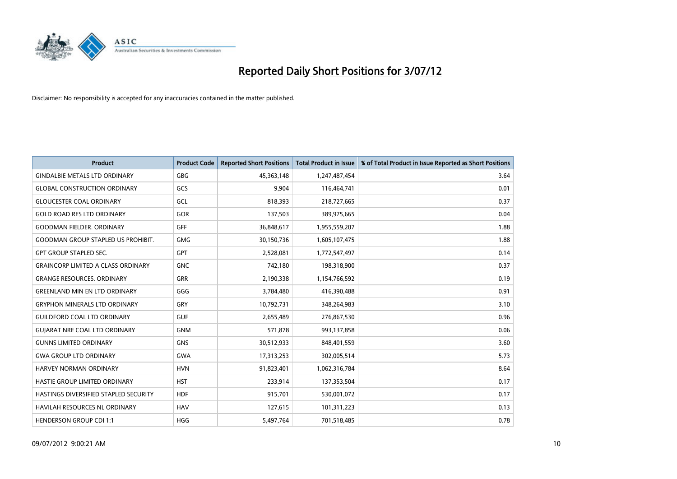

| <b>Product</b>                            | <b>Product Code</b> | <b>Reported Short Positions</b> | <b>Total Product in Issue</b> | % of Total Product in Issue Reported as Short Positions |
|-------------------------------------------|---------------------|---------------------------------|-------------------------------|---------------------------------------------------------|
| <b>GINDALBIE METALS LTD ORDINARY</b>      | <b>GBG</b>          | 45,363,148                      | 1,247,487,454                 | 3.64                                                    |
| <b>GLOBAL CONSTRUCTION ORDINARY</b>       | GCS                 | 9,904                           | 116,464,741                   | 0.01                                                    |
| <b>GLOUCESTER COAL ORDINARY</b>           | GCL                 | 818,393                         | 218,727,665                   | 0.37                                                    |
| <b>GOLD ROAD RES LTD ORDINARY</b>         | GOR                 | 137,503                         | 389,975,665                   | 0.04                                                    |
| <b>GOODMAN FIELDER, ORDINARY</b>          | <b>GFF</b>          | 36,848,617                      | 1,955,559,207                 | 1.88                                                    |
| <b>GOODMAN GROUP STAPLED US PROHIBIT.</b> | <b>GMG</b>          | 30,150,736                      | 1,605,107,475                 | 1.88                                                    |
| <b>GPT GROUP STAPLED SEC.</b>             | <b>GPT</b>          | 2,528,081                       | 1,772,547,497                 | 0.14                                                    |
| <b>GRAINCORP LIMITED A CLASS ORDINARY</b> | <b>GNC</b>          | 742,180                         | 198,318,900                   | 0.37                                                    |
| <b>GRANGE RESOURCES, ORDINARY</b>         | <b>GRR</b>          | 2,190,338                       | 1,154,766,592                 | 0.19                                                    |
| <b>GREENLAND MIN EN LTD ORDINARY</b>      | GGG                 | 3,784,480                       | 416,390,488                   | 0.91                                                    |
| <b>GRYPHON MINERALS LTD ORDINARY</b>      | GRY                 | 10,792,731                      | 348,264,983                   | 3.10                                                    |
| <b>GUILDFORD COAL LTD ORDINARY</b>        | <b>GUF</b>          | 2,655,489                       | 276,867,530                   | 0.96                                                    |
| <b>GUIARAT NRE COAL LTD ORDINARY</b>      | <b>GNM</b>          | 571,878                         | 993,137,858                   | 0.06                                                    |
| <b>GUNNS LIMITED ORDINARY</b>             | <b>GNS</b>          | 30,512,933                      | 848,401,559                   | 3.60                                                    |
| <b>GWA GROUP LTD ORDINARY</b>             | <b>GWA</b>          | 17,313,253                      | 302,005,514                   | 5.73                                                    |
| HARVEY NORMAN ORDINARY                    | <b>HVN</b>          | 91,823,401                      | 1,062,316,784                 | 8.64                                                    |
| HASTIE GROUP LIMITED ORDINARY             | <b>HST</b>          | 233,914                         | 137,353,504                   | 0.17                                                    |
| HASTINGS DIVERSIFIED STAPLED SECURITY     | <b>HDF</b>          | 915,701                         | 530,001,072                   | 0.17                                                    |
| HAVILAH RESOURCES NL ORDINARY             | <b>HAV</b>          | 127,615                         | 101,311,223                   | 0.13                                                    |
| <b>HENDERSON GROUP CDI 1:1</b>            | <b>HGG</b>          | 5,497,764                       | 701,518,485                   | 0.78                                                    |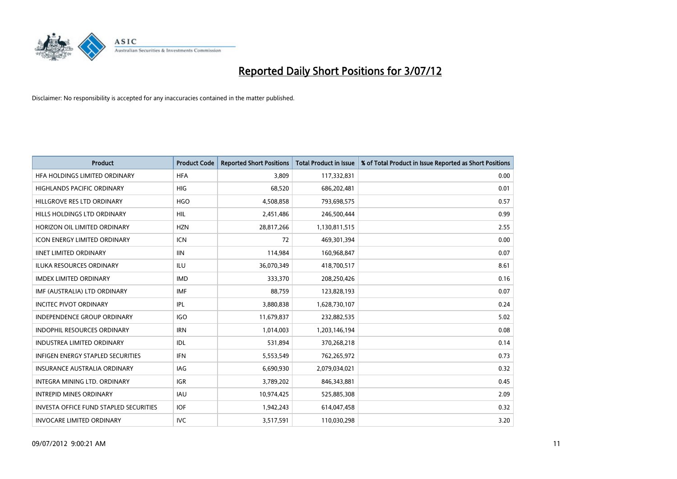

| <b>Product</b>                                | <b>Product Code</b> | <b>Reported Short Positions</b> | <b>Total Product in Issue</b> | % of Total Product in Issue Reported as Short Positions |
|-----------------------------------------------|---------------------|---------------------------------|-------------------------------|---------------------------------------------------------|
| HFA HOLDINGS LIMITED ORDINARY                 | <b>HFA</b>          | 3.809                           | 117,332,831                   | 0.00                                                    |
| HIGHLANDS PACIFIC ORDINARY                    | <b>HIG</b>          | 68,520                          | 686,202,481                   | 0.01                                                    |
| HILLGROVE RES LTD ORDINARY                    | <b>HGO</b>          | 4,508,858                       | 793,698,575                   | 0.57                                                    |
| HILLS HOLDINGS LTD ORDINARY                   | <b>HIL</b>          | 2,451,486                       | 246,500,444                   | 0.99                                                    |
| HORIZON OIL LIMITED ORDINARY                  | <b>HZN</b>          | 28,817,266                      | 1,130,811,515                 | 2.55                                                    |
| <b>ICON ENERGY LIMITED ORDINARY</b>           | <b>ICN</b>          | 72                              | 469,301,394                   | 0.00                                                    |
| <b>IINET LIMITED ORDINARY</b>                 | <b>IIN</b>          | 114,984                         | 160,968,847                   | 0.07                                                    |
| ILUKA RESOURCES ORDINARY                      | ILU                 | 36,070,349                      | 418,700,517                   | 8.61                                                    |
| <b>IMDEX LIMITED ORDINARY</b>                 | <b>IMD</b>          | 333,370                         | 208,250,426                   | 0.16                                                    |
| IMF (AUSTRALIA) LTD ORDINARY                  | <b>IMF</b>          | 88,759                          | 123,828,193                   | 0.07                                                    |
| <b>INCITEC PIVOT ORDINARY</b>                 | IPL                 | 3,880,838                       | 1,628,730,107                 | 0.24                                                    |
| <b>INDEPENDENCE GROUP ORDINARY</b>            | <b>IGO</b>          | 11,679,837                      | 232,882,535                   | 5.02                                                    |
| INDOPHIL RESOURCES ORDINARY                   | <b>IRN</b>          | 1,014,003                       | 1,203,146,194                 | 0.08                                                    |
| <b>INDUSTREA LIMITED ORDINARY</b>             | IDL                 | 531,894                         | 370,268,218                   | 0.14                                                    |
| <b>INFIGEN ENERGY STAPLED SECURITIES</b>      | <b>IFN</b>          | 5,553,549                       | 762,265,972                   | 0.73                                                    |
| INSURANCE AUSTRALIA ORDINARY                  | IAG                 | 6,690,930                       | 2,079,034,021                 | 0.32                                                    |
| INTEGRA MINING LTD. ORDINARY                  | <b>IGR</b>          | 3,789,202                       | 846,343,881                   | 0.45                                                    |
| INTREPID MINES ORDINARY                       | <b>IAU</b>          | 10,974,425                      | 525,885,308                   | 2.09                                                    |
| <b>INVESTA OFFICE FUND STAPLED SECURITIES</b> | <b>IOF</b>          | 1,942,243                       | 614,047,458                   | 0.32                                                    |
| <b>INVOCARE LIMITED ORDINARY</b>              | IVC                 | 3,517,591                       | 110,030,298                   | 3.20                                                    |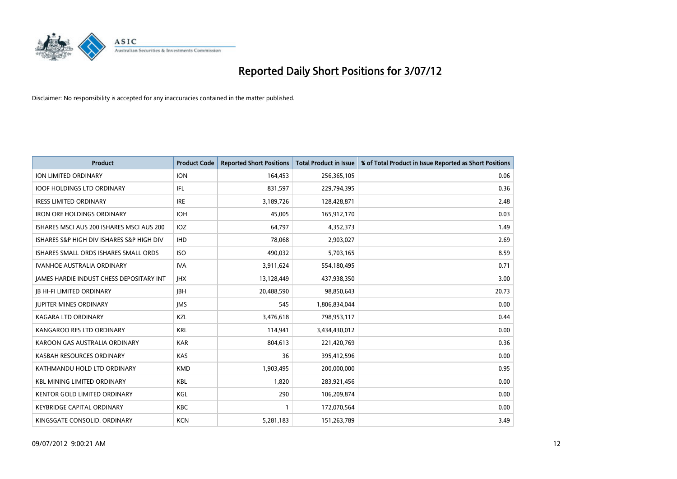

| <b>Product</b>                                  | <b>Product Code</b> | <b>Reported Short Positions</b> | <b>Total Product in Issue</b> | % of Total Product in Issue Reported as Short Positions |
|-------------------------------------------------|---------------------|---------------------------------|-------------------------------|---------------------------------------------------------|
| <b>ION LIMITED ORDINARY</b>                     | <b>ION</b>          | 164,453                         | 256,365,105                   | 0.06                                                    |
| <b>IOOF HOLDINGS LTD ORDINARY</b>               | IFL                 | 831,597                         | 229,794,395                   | 0.36                                                    |
| <b>IRESS LIMITED ORDINARY</b>                   | <b>IRE</b>          | 3,189,726                       | 128,428,871                   | 2.48                                                    |
| <b>IRON ORE HOLDINGS ORDINARY</b>               | <b>IOH</b>          | 45,005                          | 165,912,170                   | 0.03                                                    |
| ISHARES MSCI AUS 200 ISHARES MSCI AUS 200       | <b>IOZ</b>          | 64,797                          | 4,352,373                     | 1.49                                                    |
| ISHARES S&P HIGH DIV ISHARES S&P HIGH DIV       | <b>IHD</b>          | 78,068                          | 2,903,027                     | 2.69                                                    |
| ISHARES SMALL ORDS ISHARES SMALL ORDS           | <b>ISO</b>          | 490,032                         | 5,703,165                     | 8.59                                                    |
| IVANHOE AUSTRALIA ORDINARY                      | <b>IVA</b>          | 3,911,624                       | 554,180,495                   | 0.71                                                    |
| <b>JAMES HARDIE INDUST CHESS DEPOSITARY INT</b> | <b>IHX</b>          | 13,128,449                      | 437,938,350                   | 3.00                                                    |
| <b>JB HI-FI LIMITED ORDINARY</b>                | <b>IBH</b>          | 20,488,590                      | 98,850,643                    | 20.73                                                   |
| <b>JUPITER MINES ORDINARY</b>                   | <b>IMS</b>          | 545                             | 1,806,834,044                 | 0.00                                                    |
| <b>KAGARA LTD ORDINARY</b>                      | <b>KZL</b>          | 3,476,618                       | 798,953,117                   | 0.44                                                    |
| KANGAROO RES LTD ORDINARY                       | <b>KRL</b>          | 114,941                         | 3,434,430,012                 | 0.00                                                    |
| KAROON GAS AUSTRALIA ORDINARY                   | <b>KAR</b>          | 804,613                         | 221,420,769                   | 0.36                                                    |
| KASBAH RESOURCES ORDINARY                       | <b>KAS</b>          | 36                              | 395,412,596                   | 0.00                                                    |
| KATHMANDU HOLD LTD ORDINARY                     | <b>KMD</b>          | 1,903,495                       | 200,000,000                   | 0.95                                                    |
| <b>KBL MINING LIMITED ORDINARY</b>              | <b>KBL</b>          | 1,820                           | 283,921,456                   | 0.00                                                    |
| KENTOR GOLD LIMITED ORDINARY                    | KGL                 | 290                             | 106,209,874                   | 0.00                                                    |
| <b>KEYBRIDGE CAPITAL ORDINARY</b>               | <b>KBC</b>          |                                 | 172,070,564                   | 0.00                                                    |
| KINGSGATE CONSOLID. ORDINARY                    | <b>KCN</b>          | 5,281,183                       | 151,263,789                   | 3.49                                                    |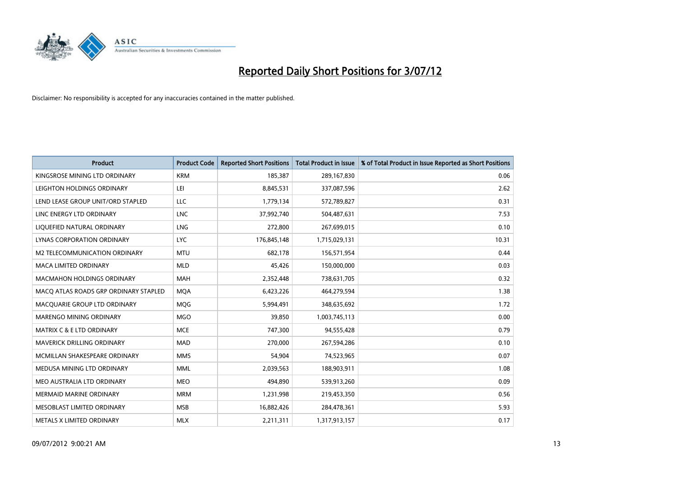

| <b>Product</b>                        | <b>Product Code</b> | <b>Reported Short Positions</b> | <b>Total Product in Issue</b> | % of Total Product in Issue Reported as Short Positions |
|---------------------------------------|---------------------|---------------------------------|-------------------------------|---------------------------------------------------------|
| KINGSROSE MINING LTD ORDINARY         | <b>KRM</b>          | 185,387                         | 289,167,830                   | 0.06                                                    |
| LEIGHTON HOLDINGS ORDINARY            | LEI                 | 8,845,531                       | 337,087,596                   | 2.62                                                    |
| LEND LEASE GROUP UNIT/ORD STAPLED     | LLC                 | 1,779,134                       | 572,789,827                   | 0.31                                                    |
| LINC ENERGY LTD ORDINARY              | <b>LNC</b>          | 37,992,740                      | 504,487,631                   | 7.53                                                    |
| LIQUEFIED NATURAL ORDINARY            | <b>LNG</b>          | 272,800                         | 267,699,015                   | 0.10                                                    |
| LYNAS CORPORATION ORDINARY            | <b>LYC</b>          | 176,845,148                     | 1,715,029,131                 | 10.31                                                   |
| M2 TELECOMMUNICATION ORDINARY         | <b>MTU</b>          | 682,178                         | 156,571,954                   | 0.44                                                    |
| <b>MACA LIMITED ORDINARY</b>          | <b>MLD</b>          | 45.426                          | 150,000,000                   | 0.03                                                    |
| <b>MACMAHON HOLDINGS ORDINARY</b>     | <b>MAH</b>          | 2,352,448                       | 738,631,705                   | 0.32                                                    |
| MACO ATLAS ROADS GRP ORDINARY STAPLED | <b>MOA</b>          | 6,423,226                       | 464,279,594                   | 1.38                                                    |
| MACQUARIE GROUP LTD ORDINARY          | <b>MOG</b>          | 5,994,491                       | 348,635,692                   | 1.72                                                    |
| <b>MARENGO MINING ORDINARY</b>        | <b>MGO</b>          | 39,850                          | 1,003,745,113                 | 0.00                                                    |
| <b>MATRIX C &amp; E LTD ORDINARY</b>  | <b>MCE</b>          | 747,300                         | 94,555,428                    | 0.79                                                    |
| <b>MAVERICK DRILLING ORDINARY</b>     | <b>MAD</b>          | 270,000                         | 267,594,286                   | 0.10                                                    |
| MCMILLAN SHAKESPEARE ORDINARY         | <b>MMS</b>          | 54,904                          | 74,523,965                    | 0.07                                                    |
| MEDUSA MINING LTD ORDINARY            | <b>MML</b>          | 2,039,563                       | 188,903,911                   | 1.08                                                    |
| MEO AUSTRALIA LTD ORDINARY            | <b>MEO</b>          | 494,890                         | 539,913,260                   | 0.09                                                    |
| <b>MERMAID MARINE ORDINARY</b>        | <b>MRM</b>          | 1,231,998                       | 219,453,350                   | 0.56                                                    |
| MESOBLAST LIMITED ORDINARY            | <b>MSB</b>          | 16,882,426                      | 284,478,361                   | 5.93                                                    |
| METALS X LIMITED ORDINARY             | <b>MLX</b>          | 2,211,311                       | 1,317,913,157                 | 0.17                                                    |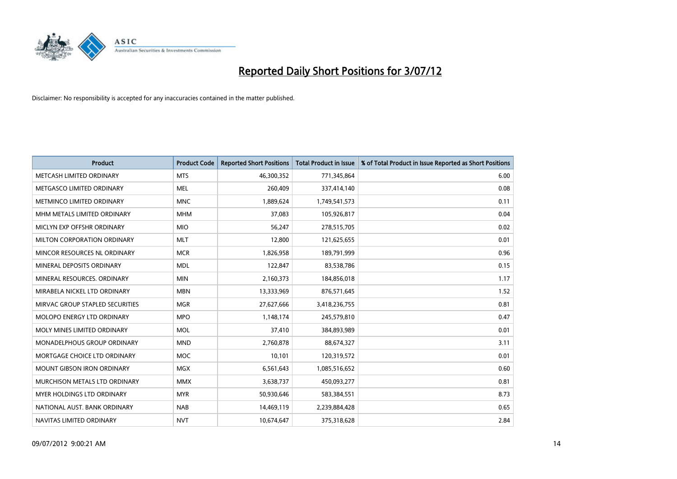

| <b>Product</b>                     | <b>Product Code</b> | <b>Reported Short Positions</b> | <b>Total Product in Issue</b> | % of Total Product in Issue Reported as Short Positions |
|------------------------------------|---------------------|---------------------------------|-------------------------------|---------------------------------------------------------|
| METCASH LIMITED ORDINARY           | <b>MTS</b>          | 46,300,352                      | 771,345,864                   | 6.00                                                    |
| METGASCO LIMITED ORDINARY          | <b>MEL</b>          | 260,409                         | 337,414,140                   | 0.08                                                    |
| METMINCO LIMITED ORDINARY          | <b>MNC</b>          | 1,889,624                       | 1,749,541,573                 | 0.11                                                    |
| MHM METALS LIMITED ORDINARY        | <b>MHM</b>          | 37,083                          | 105,926,817                   | 0.04                                                    |
| MICLYN EXP OFFSHR ORDINARY         | <b>MIO</b>          | 56,247                          | 278,515,705                   | 0.02                                                    |
| MILTON CORPORATION ORDINARY        | <b>MLT</b>          | 12,800                          | 121,625,655                   | 0.01                                                    |
| MINCOR RESOURCES NL ORDINARY       | <b>MCR</b>          | 1,826,958                       | 189,791,999                   | 0.96                                                    |
| MINERAL DEPOSITS ORDINARY          | <b>MDL</b>          | 122,847                         | 83,538,786                    | 0.15                                                    |
| MINERAL RESOURCES, ORDINARY        | <b>MIN</b>          | 2,160,373                       | 184,856,018                   | 1.17                                                    |
| MIRABELA NICKEL LTD ORDINARY       | <b>MBN</b>          | 13,333,969                      | 876,571,645                   | 1.52                                                    |
| MIRVAC GROUP STAPLED SECURITIES    | <b>MGR</b>          | 27,627,666                      | 3,418,236,755                 | 0.81                                                    |
| MOLOPO ENERGY LTD ORDINARY         | <b>MPO</b>          | 1,148,174                       | 245,579,810                   | 0.47                                                    |
| MOLY MINES LIMITED ORDINARY        | <b>MOL</b>          | 37,410                          | 384,893,989                   | 0.01                                                    |
| <b>MONADELPHOUS GROUP ORDINARY</b> | <b>MND</b>          | 2,760,878                       | 88,674,327                    | 3.11                                                    |
| MORTGAGE CHOICE LTD ORDINARY       | <b>MOC</b>          | 10,101                          | 120,319,572                   | 0.01                                                    |
| <b>MOUNT GIBSON IRON ORDINARY</b>  | <b>MGX</b>          | 6,561,643                       | 1,085,516,652                 | 0.60                                                    |
| MURCHISON METALS LTD ORDINARY      | <b>MMX</b>          | 3,638,737                       | 450,093,277                   | 0.81                                                    |
| <b>MYER HOLDINGS LTD ORDINARY</b>  | <b>MYR</b>          | 50,930,646                      | 583,384,551                   | 8.73                                                    |
| NATIONAL AUST, BANK ORDINARY       | <b>NAB</b>          | 14,469,119                      | 2,239,884,428                 | 0.65                                                    |
| NAVITAS LIMITED ORDINARY           | <b>NVT</b>          | 10,674,647                      | 375,318,628                   | 2.84                                                    |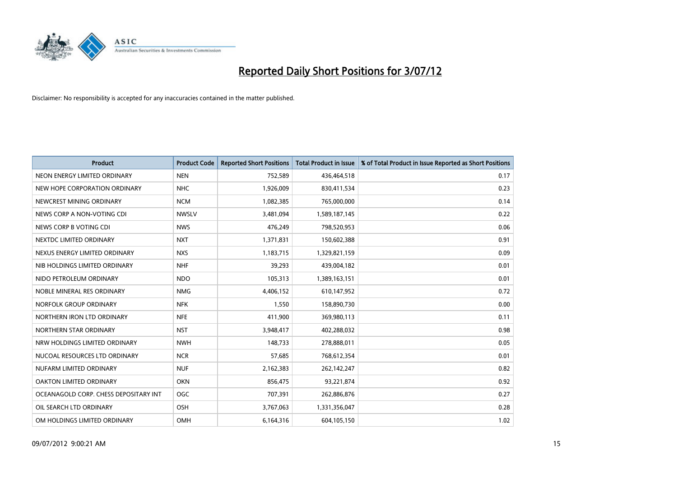

| <b>Product</b>                        | <b>Product Code</b> | <b>Reported Short Positions</b> | <b>Total Product in Issue</b> | % of Total Product in Issue Reported as Short Positions |
|---------------------------------------|---------------------|---------------------------------|-------------------------------|---------------------------------------------------------|
| NEON ENERGY LIMITED ORDINARY          | <b>NEN</b>          | 752,589                         | 436,464,518                   | 0.17                                                    |
| NEW HOPE CORPORATION ORDINARY         | <b>NHC</b>          | 1,926,009                       | 830,411,534                   | 0.23                                                    |
| NEWCREST MINING ORDINARY              | <b>NCM</b>          | 1,082,385                       | 765,000,000                   | 0.14                                                    |
| NEWS CORP A NON-VOTING CDI            | <b>NWSLV</b>        | 3,481,094                       | 1,589,187,145                 | 0.22                                                    |
| NEWS CORP B VOTING CDI                | <b>NWS</b>          | 476,249                         | 798,520,953                   | 0.06                                                    |
| NEXTDC LIMITED ORDINARY               | <b>NXT</b>          | 1,371,831                       | 150,602,388                   | 0.91                                                    |
| NEXUS ENERGY LIMITED ORDINARY         | <b>NXS</b>          | 1,183,715                       | 1,329,821,159                 | 0.09                                                    |
| NIB HOLDINGS LIMITED ORDINARY         | <b>NHF</b>          | 39,293                          | 439,004,182                   | 0.01                                                    |
| NIDO PETROLEUM ORDINARY               | <b>NDO</b>          | 105,313                         | 1,389,163,151                 | 0.01                                                    |
| NOBLE MINERAL RES ORDINARY            | <b>NMG</b>          | 4,406,152                       | 610,147,952                   | 0.72                                                    |
| NORFOLK GROUP ORDINARY                | <b>NFK</b>          | 1,550                           | 158,890,730                   | 0.00                                                    |
| NORTHERN IRON LTD ORDINARY            | <b>NFE</b>          | 411,900                         | 369,980,113                   | 0.11                                                    |
| NORTHERN STAR ORDINARY                | <b>NST</b>          | 3,948,417                       | 402,288,032                   | 0.98                                                    |
| NRW HOLDINGS LIMITED ORDINARY         | <b>NWH</b>          | 148.733                         | 278,888,011                   | 0.05                                                    |
| NUCOAL RESOURCES LTD ORDINARY         | <b>NCR</b>          | 57,685                          | 768,612,354                   | 0.01                                                    |
| NUFARM LIMITED ORDINARY               | <b>NUF</b>          | 2,162,383                       | 262,142,247                   | 0.82                                                    |
| OAKTON LIMITED ORDINARY               | <b>OKN</b>          | 856,475                         | 93,221,874                    | 0.92                                                    |
| OCEANAGOLD CORP. CHESS DEPOSITARY INT | <b>OGC</b>          | 707,391                         | 262,886,876                   | 0.27                                                    |
| OIL SEARCH LTD ORDINARY               | <b>OSH</b>          | 3,767,063                       | 1,331,356,047                 | 0.28                                                    |
| OM HOLDINGS LIMITED ORDINARY          | <b>OMH</b>          | 6,164,316                       | 604,105,150                   | 1.02                                                    |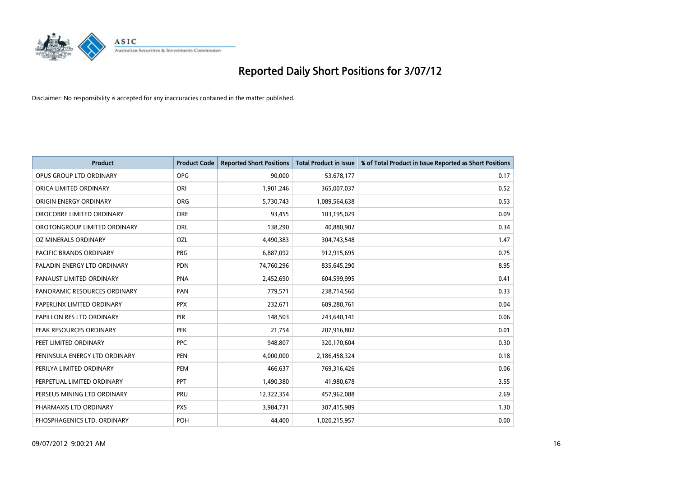

| <b>Product</b>                 | <b>Product Code</b> | <b>Reported Short Positions</b> | <b>Total Product in Issue</b> | % of Total Product in Issue Reported as Short Positions |
|--------------------------------|---------------------|---------------------------------|-------------------------------|---------------------------------------------------------|
| OPUS GROUP LTD ORDINARY        | <b>OPG</b>          | 90,000                          | 53,678,177                    | 0.17                                                    |
| ORICA LIMITED ORDINARY         | ORI                 | 1,901,246                       | 365,007,037                   | 0.52                                                    |
| ORIGIN ENERGY ORDINARY         | ORG                 | 5,730,743                       | 1,089,564,638                 | 0.53                                                    |
| OROCOBRE LIMITED ORDINARY      | <b>ORE</b>          | 93,455                          | 103,195,029                   | 0.09                                                    |
| OROTONGROUP LIMITED ORDINARY   | ORL                 | 138,290                         | 40,880,902                    | 0.34                                                    |
| OZ MINERALS ORDINARY           | OZL                 | 4,490,383                       | 304,743,548                   | 1.47                                                    |
| <b>PACIFIC BRANDS ORDINARY</b> | <b>PBG</b>          | 6,887,092                       | 912,915,695                   | 0.75                                                    |
| PALADIN ENERGY LTD ORDINARY    | <b>PDN</b>          | 74,760,296                      | 835,645,290                   | 8.95                                                    |
| PANAUST LIMITED ORDINARY       | <b>PNA</b>          | 2,452,690                       | 604,599,995                   | 0.41                                                    |
| PANORAMIC RESOURCES ORDINARY   | PAN                 | 779,571                         | 238,714,560                   | 0.33                                                    |
| PAPERLINX LIMITED ORDINARY     | <b>PPX</b>          | 232,671                         | 609,280,761                   | 0.04                                                    |
| PAPILLON RES LTD ORDINARY      | <b>PIR</b>          | 148,503                         | 243,640,141                   | 0.06                                                    |
| PEAK RESOURCES ORDINARY        | <b>PEK</b>          | 21,754                          | 207,916,802                   | 0.01                                                    |
| PEET LIMITED ORDINARY          | <b>PPC</b>          | 948.807                         | 320,170,604                   | 0.30                                                    |
| PENINSULA ENERGY LTD ORDINARY  | <b>PEN</b>          | 4,000,000                       | 2,186,458,324                 | 0.18                                                    |
| PERILYA LIMITED ORDINARY       | PEM                 | 466,637                         | 769,316,426                   | 0.06                                                    |
| PERPETUAL LIMITED ORDINARY     | PPT                 | 1,490,380                       | 41,980,678                    | 3.55                                                    |
| PERSEUS MINING LTD ORDINARY    | PRU                 | 12,322,354                      | 457,962,088                   | 2.69                                                    |
| PHARMAXIS LTD ORDINARY         | <b>PXS</b>          | 3,984,731                       | 307,415,989                   | 1.30                                                    |
| PHOSPHAGENICS LTD. ORDINARY    | POH                 | 44.400                          | 1,020,215,957                 | 0.00                                                    |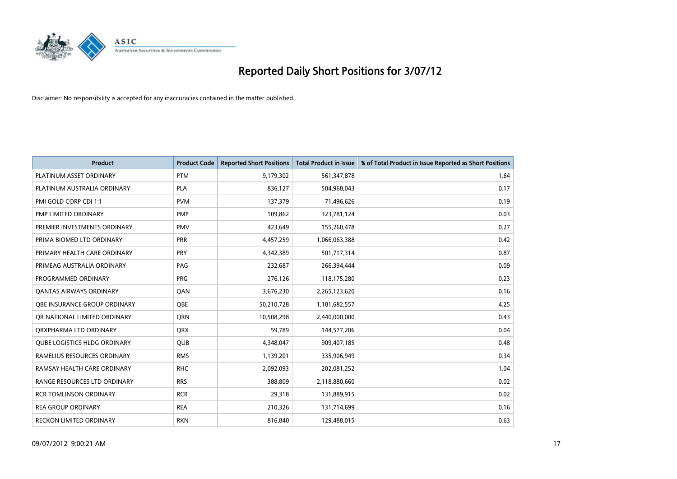

| <b>Product</b>                      | <b>Product Code</b> | <b>Reported Short Positions</b> | <b>Total Product in Issue</b> | % of Total Product in Issue Reported as Short Positions |
|-------------------------------------|---------------------|---------------------------------|-------------------------------|---------------------------------------------------------|
| PLATINUM ASSET ORDINARY             | <b>PTM</b>          | 9,179,302                       | 561,347,878                   | 1.64                                                    |
| PLATINUM AUSTRALIA ORDINARY         | <b>PLA</b>          | 836,127                         | 504,968,043                   | 0.17                                                    |
| PMI GOLD CORP CDI 1:1               | <b>PVM</b>          | 137,379                         | 71,496,626                    | 0.19                                                    |
| PMP LIMITED ORDINARY                | <b>PMP</b>          | 109,862                         | 323,781,124                   | 0.03                                                    |
| PREMIER INVESTMENTS ORDINARY        | <b>PMV</b>          | 423,649                         | 155,260,478                   | 0.27                                                    |
| PRIMA BIOMED LTD ORDINARY           | PRR                 | 4,457,259                       | 1,066,063,388                 | 0.42                                                    |
| PRIMARY HEALTH CARE ORDINARY        | <b>PRY</b>          | 4,342,389                       | 501,717,314                   | 0.87                                                    |
| PRIMEAG AUSTRALIA ORDINARY          | PAG                 | 232,687                         | 266,394,444                   | 0.09                                                    |
| PROGRAMMED ORDINARY                 | <b>PRG</b>          | 276,126                         | 118,175,280                   | 0.23                                                    |
| OANTAS AIRWAYS ORDINARY             | QAN                 | 3,676,230                       | 2,265,123,620                 | 0.16                                                    |
| OBE INSURANCE GROUP ORDINARY        | <b>OBE</b>          | 50,210,728                      | 1,181,682,557                 | 4.25                                                    |
| OR NATIONAL LIMITED ORDINARY        | <b>ORN</b>          | 10,508,298                      | 2,440,000,000                 | 0.43                                                    |
| ORXPHARMA LTD ORDINARY              | <b>QRX</b>          | 59,789                          | 144,577,206                   | 0.04                                                    |
| <b>OUBE LOGISTICS HLDG ORDINARY</b> | QUB                 | 4,348,047                       | 909,407,185                   | 0.48                                                    |
| RAMELIUS RESOURCES ORDINARY         | <b>RMS</b>          | 1,139,201                       | 335,906,949                   | 0.34                                                    |
| RAMSAY HEALTH CARE ORDINARY         | <b>RHC</b>          | 2,092,093                       | 202,081,252                   | 1.04                                                    |
| RANGE RESOURCES LTD ORDINARY        | <b>RRS</b>          | 388,809                         | 2,118,880,660                 | 0.02                                                    |
| <b>RCR TOMLINSON ORDINARY</b>       | <b>RCR</b>          | 29,318                          | 131,889,915                   | 0.02                                                    |
| <b>REA GROUP ORDINARY</b>           | <b>REA</b>          | 210,326                         | 131,714,699                   | 0.16                                                    |
| RECKON LIMITED ORDINARY             | <b>RKN</b>          | 816,840                         | 129,488,015                   | 0.63                                                    |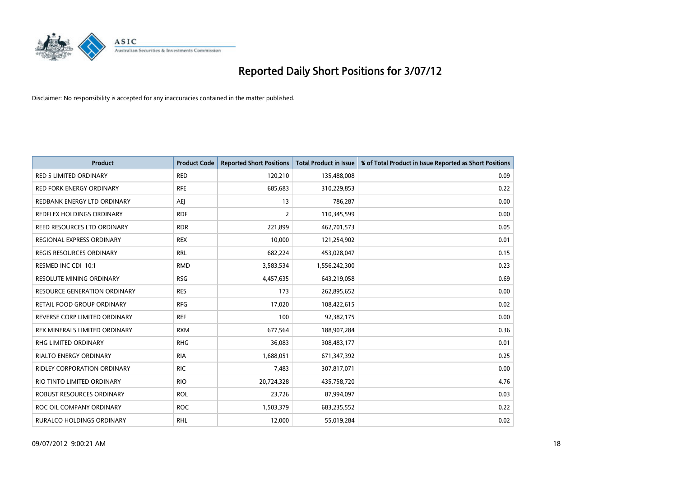

| <b>Product</b>                      | <b>Product Code</b> | <b>Reported Short Positions</b> | <b>Total Product in Issue</b> | % of Total Product in Issue Reported as Short Positions |
|-------------------------------------|---------------------|---------------------------------|-------------------------------|---------------------------------------------------------|
| <b>RED 5 LIMITED ORDINARY</b>       | <b>RED</b>          | 120,210                         | 135,488,008                   | 0.09                                                    |
| <b>RED FORK ENERGY ORDINARY</b>     | <b>RFE</b>          | 685,683                         | 310,229,853                   | 0.22                                                    |
| REDBANK ENERGY LTD ORDINARY         | AEJ                 | 13                              | 786,287                       | 0.00                                                    |
| REDFLEX HOLDINGS ORDINARY           | <b>RDF</b>          | 2                               | 110,345,599                   | 0.00                                                    |
| REED RESOURCES LTD ORDINARY         | <b>RDR</b>          | 221,899                         | 462,701,573                   | 0.05                                                    |
| REGIONAL EXPRESS ORDINARY           | <b>REX</b>          | 10,000                          | 121,254,902                   | 0.01                                                    |
| <b>REGIS RESOURCES ORDINARY</b>     | <b>RRL</b>          | 682,224                         | 453,028,047                   | 0.15                                                    |
| RESMED INC CDI 10:1                 | <b>RMD</b>          | 3,583,534                       | 1,556,242,300                 | 0.23                                                    |
| <b>RESOLUTE MINING ORDINARY</b>     | <b>RSG</b>          | 4,457,635                       | 643,219,058                   | 0.69                                                    |
| <b>RESOURCE GENERATION ORDINARY</b> | <b>RES</b>          | 173                             | 262,895,652                   | 0.00                                                    |
| RETAIL FOOD GROUP ORDINARY          | <b>RFG</b>          | 17,020                          | 108,422,615                   | 0.02                                                    |
| REVERSE CORP LIMITED ORDINARY       | <b>REF</b>          | 100                             | 92,382,175                    | 0.00                                                    |
| REX MINERALS LIMITED ORDINARY       | <b>RXM</b>          | 677,564                         | 188,907,284                   | 0.36                                                    |
| <b>RHG LIMITED ORDINARY</b>         | <b>RHG</b>          | 36,083                          | 308,483,177                   | 0.01                                                    |
| <b>RIALTO ENERGY ORDINARY</b>       | <b>RIA</b>          | 1,688,051                       | 671,347,392                   | 0.25                                                    |
| RIDLEY CORPORATION ORDINARY         | <b>RIC</b>          | 7,483                           | 307,817,071                   | 0.00                                                    |
| RIO TINTO LIMITED ORDINARY          | <b>RIO</b>          | 20,724,328                      | 435,758,720                   | 4.76                                                    |
| ROBUST RESOURCES ORDINARY           | <b>ROL</b>          | 23,726                          | 87,994,097                    | 0.03                                                    |
| ROC OIL COMPANY ORDINARY            | <b>ROC</b>          | 1,503,379                       | 683,235,552                   | 0.22                                                    |
| RURALCO HOLDINGS ORDINARY           | <b>RHL</b>          | 12,000                          | 55,019,284                    | 0.02                                                    |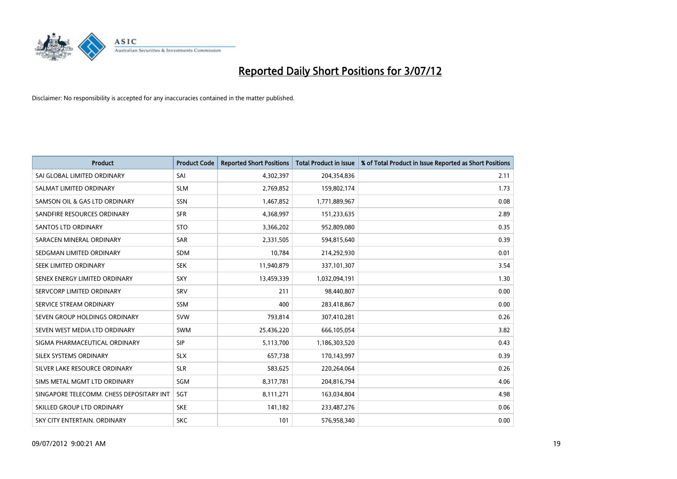

| <b>Product</b>                           | <b>Product Code</b> | <b>Reported Short Positions</b> | <b>Total Product in Issue</b> | % of Total Product in Issue Reported as Short Positions |
|------------------------------------------|---------------------|---------------------------------|-------------------------------|---------------------------------------------------------|
| SAI GLOBAL LIMITED ORDINARY              | SAI                 | 4,302,397                       | 204,354,836                   | 2.11                                                    |
| SALMAT LIMITED ORDINARY                  | <b>SLM</b>          | 2,769,852                       | 159,802,174                   | 1.73                                                    |
| SAMSON OIL & GAS LTD ORDINARY            | SSN                 | 1,467,852                       | 1,771,889,967                 | 0.08                                                    |
| SANDFIRE RESOURCES ORDINARY              | <b>SFR</b>          | 4,368,997                       | 151,233,635                   | 2.89                                                    |
| <b>SANTOS LTD ORDINARY</b>               | <b>STO</b>          | 3,366,202                       | 952,809,080                   | 0.35                                                    |
| SARACEN MINERAL ORDINARY                 | <b>SAR</b>          | 2,331,505                       | 594,815,640                   | 0.39                                                    |
| SEDGMAN LIMITED ORDINARY                 | <b>SDM</b>          | 10.784                          | 214,292,930                   | 0.01                                                    |
| SEEK LIMITED ORDINARY                    | <b>SEK</b>          | 11,940,879                      | 337,101,307                   | 3.54                                                    |
| SENEX ENERGY LIMITED ORDINARY            | <b>SXY</b>          | 13,459,339                      | 1,032,094,191                 | 1.30                                                    |
| SERVCORP LIMITED ORDINARY                | SRV                 | 211                             | 98,440,807                    | 0.00                                                    |
| SERVICE STREAM ORDINARY                  | <b>SSM</b>          | 400                             | 283,418,867                   | 0.00                                                    |
| SEVEN GROUP HOLDINGS ORDINARY            | <b>SVW</b>          | 793,814                         | 307,410,281                   | 0.26                                                    |
| SEVEN WEST MEDIA LTD ORDINARY            | <b>SWM</b>          | 25,436,220                      | 666,105,054                   | 3.82                                                    |
| SIGMA PHARMACEUTICAL ORDINARY            | <b>SIP</b>          | 5,113,700                       | 1,186,303,520                 | 0.43                                                    |
| SILEX SYSTEMS ORDINARY                   | <b>SLX</b>          | 657,738                         | 170,143,997                   | 0.39                                                    |
| SILVER LAKE RESOURCE ORDINARY            | <b>SLR</b>          | 583,625                         | 220,264,064                   | 0.26                                                    |
| SIMS METAL MGMT LTD ORDINARY             | <b>SGM</b>          | 8,317,781                       | 204,816,794                   | 4.06                                                    |
| SINGAPORE TELECOMM. CHESS DEPOSITARY INT | <b>SGT</b>          | 8,111,271                       | 163,034,804                   | 4.98                                                    |
| SKILLED GROUP LTD ORDINARY               | <b>SKE</b>          | 141,182                         | 233,487,276                   | 0.06                                                    |
| SKY CITY ENTERTAIN, ORDINARY             | <b>SKC</b>          | 101                             | 576,958,340                   | 0.00                                                    |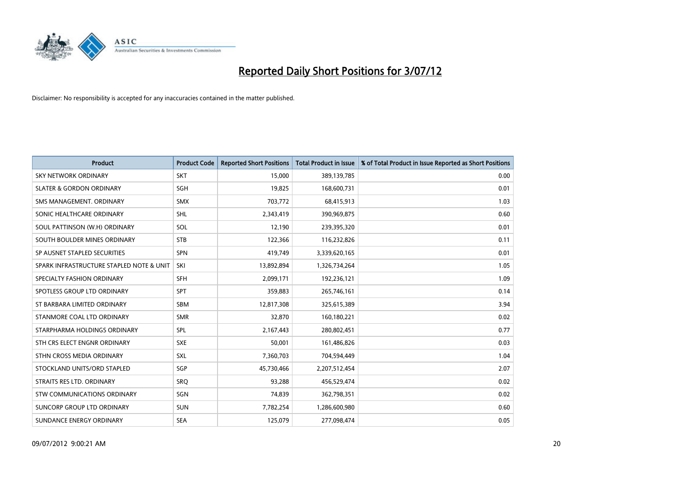

| <b>Product</b>                           | <b>Product Code</b> | <b>Reported Short Positions</b> | <b>Total Product in Issue</b> | % of Total Product in Issue Reported as Short Positions |
|------------------------------------------|---------------------|---------------------------------|-------------------------------|---------------------------------------------------------|
| <b>SKY NETWORK ORDINARY</b>              | <b>SKT</b>          | 15,000                          | 389,139,785                   | 0.00                                                    |
| <b>SLATER &amp; GORDON ORDINARY</b>      | <b>SGH</b>          | 19,825                          | 168,600,731                   | 0.01                                                    |
| SMS MANAGEMENT, ORDINARY                 | <b>SMX</b>          | 703,772                         | 68,415,913                    | 1.03                                                    |
| SONIC HEALTHCARE ORDINARY                | <b>SHL</b>          | 2,343,419                       | 390,969,875                   | 0.60                                                    |
| SOUL PATTINSON (W.H) ORDINARY            | SOL                 | 12,190                          | 239,395,320                   | 0.01                                                    |
| SOUTH BOULDER MINES ORDINARY             | <b>STB</b>          | 122,366                         | 116,232,826                   | 0.11                                                    |
| SP AUSNET STAPLED SECURITIES             | <b>SPN</b>          | 419,749                         | 3,339,620,165                 | 0.01                                                    |
| SPARK INFRASTRUCTURE STAPLED NOTE & UNIT | SKI                 | 13,892,894                      | 1,326,734,264                 | 1.05                                                    |
| SPECIALTY FASHION ORDINARY               | <b>SFH</b>          | 2,099,171                       | 192,236,121                   | 1.09                                                    |
| SPOTLESS GROUP LTD ORDINARY              | <b>SPT</b>          | 359,883                         | 265,746,161                   | 0.14                                                    |
| ST BARBARA LIMITED ORDINARY              | <b>SBM</b>          | 12,817,308                      | 325,615,389                   | 3.94                                                    |
| STANMORE COAL LTD ORDINARY               | <b>SMR</b>          | 32,870                          | 160,180,221                   | 0.02                                                    |
| STARPHARMA HOLDINGS ORDINARY             | SPL                 | 2,167,443                       | 280,802,451                   | 0.77                                                    |
| STH CRS ELECT ENGNR ORDINARY             | <b>SXE</b>          | 50,001                          | 161,486,826                   | 0.03                                                    |
| STHN CROSS MEDIA ORDINARY                | <b>SXL</b>          | 7,360,703                       | 704,594,449                   | 1.04                                                    |
| STOCKLAND UNITS/ORD STAPLED              | <b>SGP</b>          | 45,730,466                      | 2,207,512,454                 | 2.07                                                    |
| STRAITS RES LTD. ORDINARY                | SRO                 | 93,288                          | 456,529,474                   | 0.02                                                    |
| STW COMMUNICATIONS ORDINARY              | SGN                 | 74,839                          | 362,798,351                   | 0.02                                                    |
| SUNCORP GROUP LTD ORDINARY               | <b>SUN</b>          | 7,782,254                       | 1,286,600,980                 | 0.60                                                    |
| SUNDANCE ENERGY ORDINARY                 | <b>SEA</b>          | 125,079                         | 277,098,474                   | 0.05                                                    |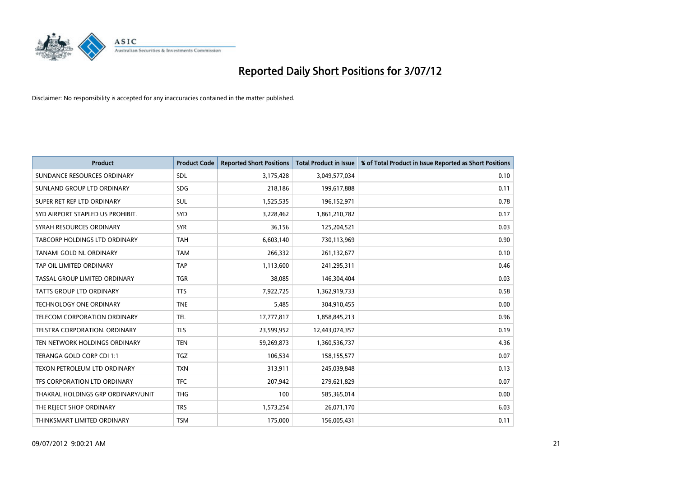

| <b>Product</b>                       | <b>Product Code</b> | <b>Reported Short Positions</b> | <b>Total Product in Issue</b> | % of Total Product in Issue Reported as Short Positions |
|--------------------------------------|---------------------|---------------------------------|-------------------------------|---------------------------------------------------------|
| SUNDANCE RESOURCES ORDINARY          | <b>SDL</b>          | 3,175,428                       | 3,049,577,034                 | 0.10                                                    |
| SUNLAND GROUP LTD ORDINARY           | <b>SDG</b>          | 218,186                         | 199,617,888                   | 0.11                                                    |
| SUPER RET REP LTD ORDINARY           | <b>SUL</b>          | 1,525,535                       | 196,152,971                   | 0.78                                                    |
| SYD AIRPORT STAPLED US PROHIBIT.     | <b>SYD</b>          | 3,228,462                       | 1,861,210,782                 | 0.17                                                    |
| SYRAH RESOURCES ORDINARY             | <b>SYR</b>          | 36,156                          | 125,204,521                   | 0.03                                                    |
| TABCORP HOLDINGS LTD ORDINARY        | <b>TAH</b>          | 6,603,140                       | 730,113,969                   | 0.90                                                    |
| TANAMI GOLD NL ORDINARY              | <b>TAM</b>          | 266,332                         | 261,132,677                   | 0.10                                                    |
| TAP OIL LIMITED ORDINARY             | <b>TAP</b>          | 1,113,600                       | 241,295,311                   | 0.46                                                    |
| TASSAL GROUP LIMITED ORDINARY        | <b>TGR</b>          | 38,085                          | 146,304,404                   | 0.03                                                    |
| <b>TATTS GROUP LTD ORDINARY</b>      | <b>TTS</b>          | 7,922,725                       | 1,362,919,733                 | 0.58                                                    |
| TECHNOLOGY ONE ORDINARY              | <b>TNE</b>          | 5,485                           | 304,910,455                   | 0.00                                                    |
| <b>TELECOM CORPORATION ORDINARY</b>  | <b>TEL</b>          | 17,777,817                      | 1,858,845,213                 | 0.96                                                    |
| <b>TELSTRA CORPORATION, ORDINARY</b> | <b>TLS</b>          | 23,599,952                      | 12,443,074,357                | 0.19                                                    |
| TEN NETWORK HOLDINGS ORDINARY        | <b>TEN</b>          | 59,269,873                      | 1,360,536,737                 | 4.36                                                    |
| TERANGA GOLD CORP CDI 1:1            | <b>TGZ</b>          | 106,534                         | 158,155,577                   | 0.07                                                    |
| TEXON PETROLEUM LTD ORDINARY         | <b>TXN</b>          | 313,911                         | 245,039,848                   | 0.13                                                    |
| TFS CORPORATION LTD ORDINARY         | <b>TFC</b>          | 207,942                         | 279,621,829                   | 0.07                                                    |
| THAKRAL HOLDINGS GRP ORDINARY/UNIT   | <b>THG</b>          | 100                             | 585,365,014                   | 0.00                                                    |
| THE REJECT SHOP ORDINARY             | <b>TRS</b>          | 1,573,254                       | 26,071,170                    | 6.03                                                    |
| THINKSMART LIMITED ORDINARY          | <b>TSM</b>          | 175,000                         | 156,005,431                   | 0.11                                                    |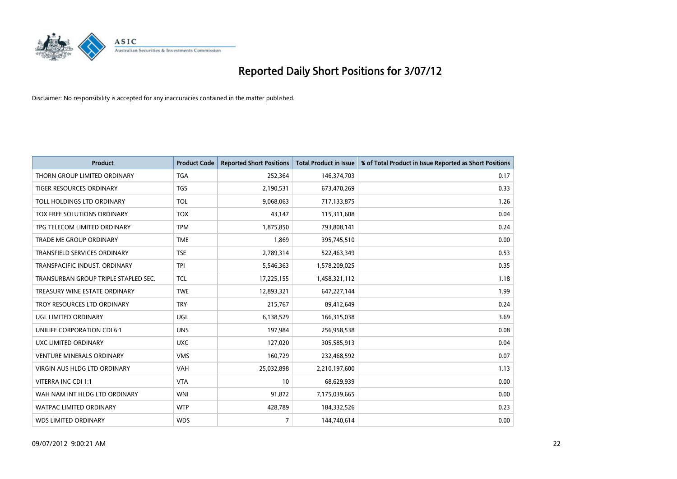

| <b>Product</b>                       | <b>Product Code</b> | <b>Reported Short Positions</b> | <b>Total Product in Issue</b> | % of Total Product in Issue Reported as Short Positions |
|--------------------------------------|---------------------|---------------------------------|-------------------------------|---------------------------------------------------------|
| THORN GROUP LIMITED ORDINARY         | <b>TGA</b>          | 252,364                         | 146,374,703                   | 0.17                                                    |
| TIGER RESOURCES ORDINARY             | <b>TGS</b>          | 2,190,531                       | 673,470,269                   | 0.33                                                    |
| TOLL HOLDINGS LTD ORDINARY           | <b>TOL</b>          | 9,068,063                       | 717,133,875                   | 1.26                                                    |
| TOX FREE SOLUTIONS ORDINARY          | <b>TOX</b>          | 43,147                          | 115,311,608                   | 0.04                                                    |
| TPG TELECOM LIMITED ORDINARY         | <b>TPM</b>          | 1,875,850                       | 793,808,141                   | 0.24                                                    |
| <b>TRADE ME GROUP ORDINARY</b>       | <b>TME</b>          | 1,869                           | 395,745,510                   | 0.00                                                    |
| <b>TRANSFIELD SERVICES ORDINARY</b>  | <b>TSE</b>          | 2,789,314                       | 522,463,349                   | 0.53                                                    |
| TRANSPACIFIC INDUST. ORDINARY        | <b>TPI</b>          | 5,546,363                       | 1,578,209,025                 | 0.35                                                    |
| TRANSURBAN GROUP TRIPLE STAPLED SEC. | <b>TCL</b>          | 17,225,155                      | 1,458,321,112                 | 1.18                                                    |
| TREASURY WINE ESTATE ORDINARY        | <b>TWE</b>          | 12,893,321                      | 647, 227, 144                 | 1.99                                                    |
| TROY RESOURCES LTD ORDINARY          | <b>TRY</b>          | 215,767                         | 89,412,649                    | 0.24                                                    |
| UGL LIMITED ORDINARY                 | UGL                 | 6,138,529                       | 166,315,038                   | 3.69                                                    |
| UNILIFE CORPORATION CDI 6:1          | <b>UNS</b>          | 197,984                         | 256,958,538                   | 0.08                                                    |
| UXC LIMITED ORDINARY                 | <b>UXC</b>          | 127,020                         | 305,585,913                   | 0.04                                                    |
| <b>VENTURE MINERALS ORDINARY</b>     | <b>VMS</b>          | 160,729                         | 232,468,592                   | 0.07                                                    |
| VIRGIN AUS HLDG LTD ORDINARY         | VAH                 | 25,032,898                      | 2,210,197,600                 | 1.13                                                    |
| VITERRA INC CDI 1:1                  | <b>VTA</b>          | 10                              | 68,629,939                    | 0.00                                                    |
| WAH NAM INT HLDG LTD ORDINARY        | <b>WNI</b>          | 91,872                          | 7,175,039,665                 | 0.00                                                    |
| <b>WATPAC LIMITED ORDINARY</b>       | <b>WTP</b>          | 428,789                         | 184,332,526                   | 0.23                                                    |
| <b>WDS LIMITED ORDINARY</b>          | <b>WDS</b>          | $\overline{7}$                  | 144,740,614                   | 0.00                                                    |